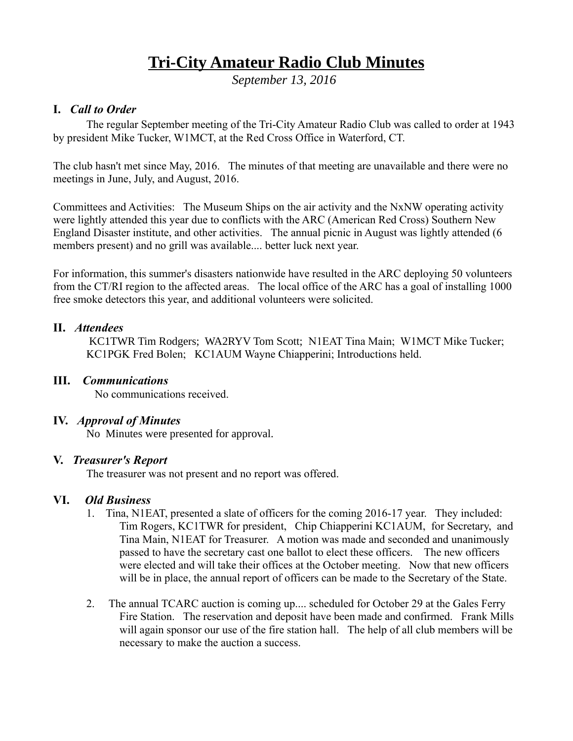# **Tri-City Amateur Radio Club Minutes**

*September 13, 2016* 

# **I.** *Call to Order*

The regular September meeting of the Tri-City Amateur Radio Club was called to order at 1943 by president Mike Tucker, W1MCT, at the Red Cross Office in Waterford, CT.

The club hasn't met since May, 2016. The minutes of that meeting are unavailable and there were no meetings in June, July, and August, 2016.

Committees and Activities: The Museum Ships on the air activity and the NxNW operating activity were lightly attended this year due to conflicts with the ARC (American Red Cross) Southern New England Disaster institute, and other activities. The annual picnic in August was lightly attended (6 members present) and no grill was available.... better luck next year.

For information, this summer's disasters nationwide have resulted in the ARC deploying 50 volunteers from the CT/RI region to the affected areas. The local office of the ARC has a goal of installing 1000 free smoke detectors this year, and additional volunteers were solicited.

## **II.** *Attendees*

KC1TWR Tim Rodgers; WA2RYV Tom Scott; N1EAT Tina Main; W1MCT Mike Tucker; KC1PGK Fred Bolen; KC1AUM Wayne Chiapperini; Introductions held.

#### **III.** *Communications*

No communications received.

#### **IV.** *Approval of Minutes*

No Minutes were presented for approval.

#### **V.** *Treasurer's Report*

The treasurer was not present and no report was offered.

#### **VI.** *Old Business*

- 1. Tina, N1EAT, presented a slate of officers for the coming 2016-17 year. They included: Tim Rogers, KC1TWR for president, Chip Chiapperini KC1AUM, for Secretary, and Tina Main, N1EAT for Treasurer. A motion was made and seconded and unanimously passed to have the secretary cast one ballot to elect these officers. The new officers were elected and will take their offices at the October meeting. Now that new officers will be in place, the annual report of officers can be made to the Secretary of the State.
- 2. The annual TCARC auction is coming up.... scheduled for October 29 at the Gales Ferry Fire Station. The reservation and deposit have been made and confirmed. Frank Mills will again sponsor our use of the fire station hall. The help of all club members will be necessary to make the auction a success.